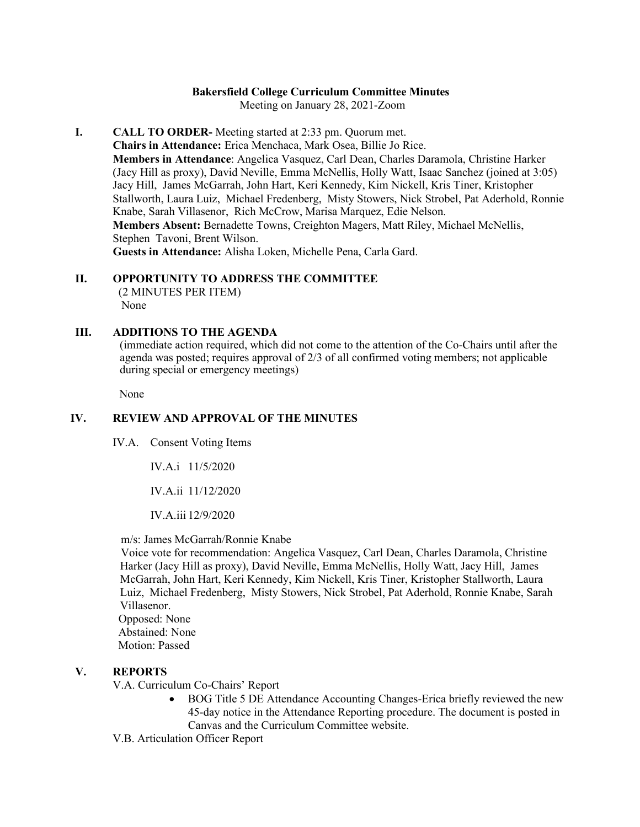## **Bakersfield College Curriculum Committee Minutes**

Meeting on January 28, 2021-Zoom

**I. CALL TO ORDER-** Meeting started at 2:33 pm. Quorum met. **Chairs in Attendance:** Erica Menchaca, Mark Osea, Billie Jo Rice. **Members in Attendance**: Angelica Vasquez, Carl Dean, Charles Daramola, Christine Harker (Jacy Hill as proxy), David Neville, Emma McNellis, Holly Watt, Isaac Sanchez (joined at 3:05) Jacy Hill, James McGarrah, John Hart, Keri Kennedy, Kim Nickell, Kris Tiner, Kristopher Stallworth, Laura Luiz, Michael Fredenberg, Misty Stowers, Nick Strobel, Pat Aderhold, Ronnie Knabe, Sarah Villasenor, Rich McCrow, Marisa Marquez, Edie Nelson. **Members Absent:** Bernadette Towns, Creighton Magers, Matt Riley, Michael McNellis, Stephen Tavoni, Brent Wilson. **Guests in Attendance:** Alisha Loken, Michelle Pena, Carla Gard.

# **II. OPPORTUNITY TO ADDRESS THE COMMITTEE**

(2 MINUTES PER ITEM) None

### **III. ADDITIONS TO THE AGENDA**

(immediate action required, which did not come to the attention of the Co-Chairs until after the agenda was posted; requires approval of 2/3 of all confirmed voting members; not applicable during special or emergency meetings)

None

### **IV. REVIEW AND APPROVAL OF THE MINUTES**

IV.A. Consent Voting Items

IV.A.i 11/5/2020

IV.A.ii 11/12/2020

IV.A.iii 12/9/2020

m/s: James McGarrah/Ronnie Knabe

Voice vote for recommendation: Angelica Vasquez, Carl Dean, Charles Daramola, Christine Harker (Jacy Hill as proxy), David Neville, Emma McNellis, Holly Watt, Jacy Hill, James McGarrah, John Hart, Keri Kennedy, Kim Nickell, Kris Tiner, Kristopher Stallworth, Laura Luiz, Michael Fredenberg, Misty Stowers, Nick Strobel, Pat Aderhold, Ronnie Knabe, Sarah Villasenor.

 Opposed: None Abstained: None

Motion: Passed

### **V. REPORTS**

V.A. Curriculum Co-Chairs' Report

• BOG Title 5 DE Attendance Accounting Changes-Erica briefly reviewed the new 45-day notice in the Attendance Reporting procedure. The document is posted in Canvas and the Curriculum Committee website.

V.B. Articulation Officer Report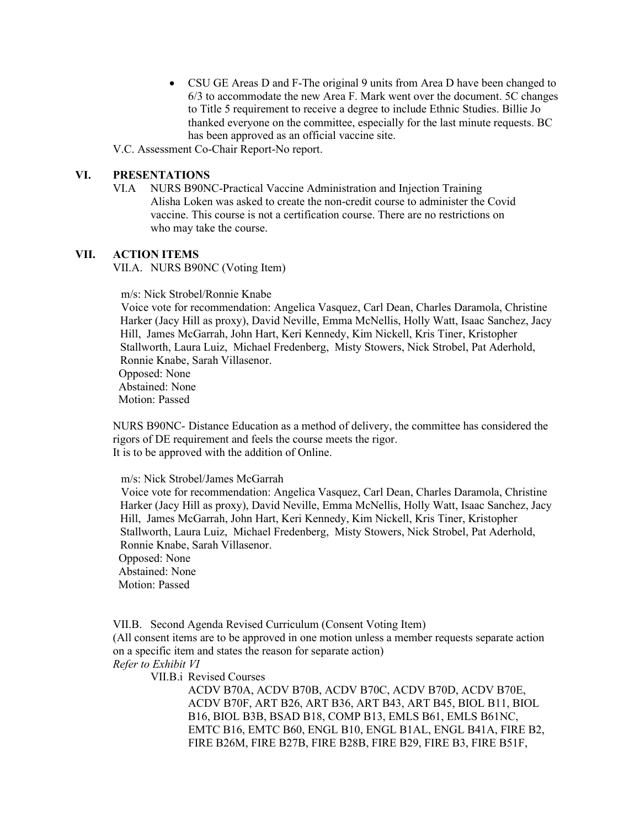• CSU GE Areas D and F-The original 9 units from Area D have been changed to 6/3 to accommodate the new Area F. Mark went over the document. 5C changes to Title 5 requirement to receive a degree to include Ethnic Studies. Billie Jo thanked everyone on the committee, especially for the last minute requests. BC has been approved as an official vaccine site.

V.C. Assessment Co-Chair Report-No report.

## **VI. PRESENTATIONS**

VI.A NURS B90NC-Practical Vaccine Administration and Injection Training Alisha Loken was asked to create the non-credit course to administer the Covid vaccine. This course is not a certification course. There are no restrictions on who may take the course.

#### **VII. ACTION ITEMS**

VII.A. NURS B90NC (Voting Item)

m/s: Nick Strobel/Ronnie Knabe

Voice vote for recommendation: Angelica Vasquez, Carl Dean, Charles Daramola, Christine Harker (Jacy Hill as proxy), David Neville, Emma McNellis, Holly Watt, Isaac Sanchez, Jacy Hill, James McGarrah, John Hart, Keri Kennedy, Kim Nickell, Kris Tiner, Kristopher Stallworth, Laura Luiz, Michael Fredenberg, Misty Stowers, Nick Strobel, Pat Aderhold, Ronnie Knabe, Sarah Villasenor. Opposed: None Abstained: None Motion: Passed

NURS B90NC- Distance Education as a method of delivery, the committee has considered the rigors of DE requirement and feels the course meets the rigor. It is to be approved with the addition of Online.

m/s: Nick Strobel/James McGarrah

Voice vote for recommendation: Angelica Vasquez, Carl Dean, Charles Daramola, Christine Harker (Jacy Hill as proxy), David Neville, Emma McNellis, Holly Watt, Isaac Sanchez, Jacy Hill, James McGarrah, John Hart, Keri Kennedy, Kim Nickell, Kris Tiner, Kristopher Stallworth, Laura Luiz, Michael Fredenberg, Misty Stowers, Nick Strobel, Pat Aderhold, Ronnie Knabe, Sarah Villasenor.

 Opposed: None Abstained: None Motion: Passed

VII.B. Second Agenda Revised Curriculum (Consent Voting Item) (All consent items are to be approved in one motion unless a member requests separate action on a specific item and states the reason for separate action) *Refer to Exhibit VI*

VII.B.i Revised Courses

ACDV B70A, ACDV B70B, ACDV B70C, ACDV B70D, ACDV B70E, ACDV B70F, ART B26, ART B36, ART B43, ART B45, BIOL B11, BIOL B16, BIOL B3B, BSAD B18, COMP B13, EMLS B61, EMLS B61NC, EMTC B16, EMTC B60, ENGL B10, ENGL B1AL, ENGL B41A, FIRE B2, FIRE B26M, FIRE B27B, FIRE B28B, FIRE B29, FIRE B3, FIRE B51F,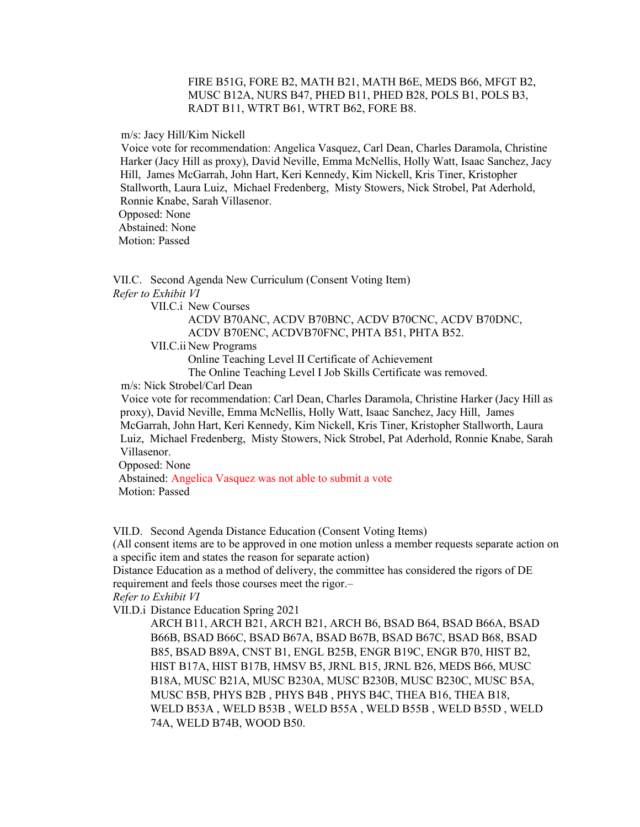#### FIRE B51G, FORE B2, MATH B21, MATH B6E, MEDS B66, MFGT B2, MUSC B12A, NURS B47, PHED B11, PHED B28, POLS B1, POLS B3, RADT B11, WTRT B61, WTRT B62, FORE B8.

m/s: Jacy Hill/Kim Nickell

Voice vote for recommendation: Angelica Vasquez, Carl Dean, Charles Daramola, Christine Harker (Jacy Hill as proxy), David Neville, Emma McNellis, Holly Watt, Isaac Sanchez, Jacy Hill, James McGarrah, John Hart, Keri Kennedy, Kim Nickell, Kris Tiner, Kristopher Stallworth, Laura Luiz, Michael Fredenberg, Misty Stowers, Nick Strobel, Pat Aderhold, Ronnie Knabe, Sarah Villasenor.

Opposed: None

Abstained: None

Motion: Passed

VII.C. Second Agenda New Curriculum (Consent Voting Item) *Refer to Exhibit VI*

VII.C.i New Courses

ACDV B70ANC, ACDV B70BNC, ACDV B70CNC, ACDV B70DNC, ACDV B70ENC, ACDVB70FNC, PHTA B51, PHTA B52.

VII.C.ii New Programs

Online Teaching Level II Certificate of Achievement

The Online Teaching Level I Job Skills Certificate was removed.

m/s: Nick Strobel/Carl Dean

Voice vote for recommendation: Carl Dean, Charles Daramola, Christine Harker (Jacy Hill as proxy), David Neville, Emma McNellis, Holly Watt, Isaac Sanchez, Jacy Hill, James McGarrah, John Hart, Keri Kennedy, Kim Nickell, Kris Tiner, Kristopher Stallworth, Laura Luiz, Michael Fredenberg, Misty Stowers, Nick Strobel, Pat Aderhold, Ronnie Knabe, Sarah Villasenor.

Opposed: None

 Abstained: Angelica Vasquez was not able to submit a vote Motion: Passed

VII.D. Second Agenda Distance Education (Consent Voting Items)

(All consent items are to be approved in one motion unless a member requests separate action on a specific item and states the reason for separate action)

Distance Education as a method of delivery, the committee has considered the rigors of DE requirement and feels those courses meet the rigor.–

*Refer to Exhibit VI*

VII.D.i Distance Education Spring 2021

ARCH B11, ARCH B21, ARCH B21, ARCH B6, BSAD B64, BSAD B66A, BSAD B66B, BSAD B66C, BSAD B67A, BSAD B67B, BSAD B67C, BSAD B68, BSAD B85, BSAD B89A, CNST B1, ENGL B25B, ENGR B19C, ENGR B70, HIST B2, HIST B17A, HIST B17B, HMSV B5, JRNL B15, JRNL B26, MEDS B66, MUSC B18A, MUSC B21A, MUSC B230A, MUSC B230B, MUSC B230C, MUSC B5A, MUSC B5B, PHYS B2B , PHYS B4B , PHYS B4C, THEA B16, THEA B18, WELD B53A , WELD B53B , WELD B55A , WELD B55B , WELD B55D , WELD 74A, WELD B74B, WOOD B50.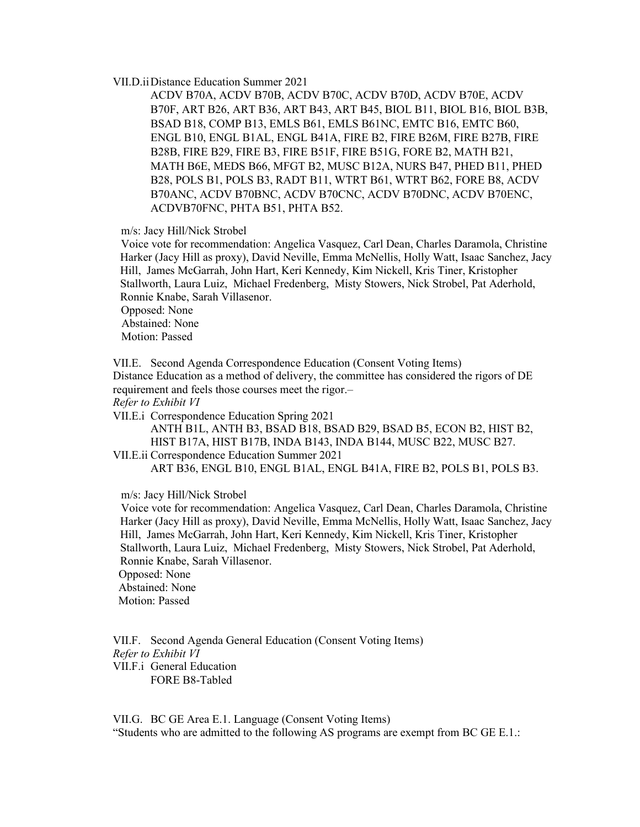#### VII.D.iiDistance Education Summer 2021

ACDV B70A, ACDV B70B, ACDV B70C, ACDV B70D, ACDV B70E, ACDV B70F, ART B26, ART B36, ART B43, ART B45, BIOL B11, BIOL B16, BIOL B3B, BSAD B18, COMP B13, EMLS B61, EMLS B61NC, EMTC B16, EMTC B60, ENGL B10, ENGL B1AL, ENGL B41A, FIRE B2, FIRE B26M, FIRE B27B, FIRE B28B, FIRE B29, FIRE B3, FIRE B51F, FIRE B51G, FORE B2, MATH B21, MATH B6E, MEDS B66, MFGT B2, MUSC B12A, NURS B47, PHED B11, PHED B28, POLS B1, POLS B3, RADT B11, WTRT B61, WTRT B62, FORE B8, ACDV B70ANC, ACDV B70BNC, ACDV B70CNC, ACDV B70DNC, ACDV B70ENC, ACDVB70FNC, PHTA B51, PHTA B52.

m/s: Jacy Hill/Nick Strobel

Voice vote for recommendation: Angelica Vasquez, Carl Dean, Charles Daramola, Christine Harker (Jacy Hill as proxy), David Neville, Emma McNellis, Holly Watt, Isaac Sanchez, Jacy Hill, James McGarrah, John Hart, Keri Kennedy, Kim Nickell, Kris Tiner, Kristopher Stallworth, Laura Luiz, Michael Fredenberg, Misty Stowers, Nick Strobel, Pat Aderhold, Ronnie Knabe, Sarah Villasenor. Opposed: None Abstained: None

Motion: Passed

VII.E. Second Agenda Correspondence Education (Consent Voting Items) Distance Education as a method of delivery, the committee has considered the rigors of DE

requirement and feels those courses meet the rigor.–

*Refer to Exhibit VI*

VII.E.i Correspondence Education Spring 2021

ANTH B1L, ANTH B3, BSAD B18, BSAD B29, BSAD B5, ECON B2, HIST B2, HIST B17A, HIST B17B, INDA B143, INDA B144, MUSC B22, MUSC B27. VII.E.ii Correspondence Education Summer 2021

ART B36, ENGL B10, ENGL B1AL, ENGL B41A, FIRE B2, POLS B1, POLS B3.

m/s: Jacy Hill/Nick Strobel

Voice vote for recommendation: Angelica Vasquez, Carl Dean, Charles Daramola, Christine Harker (Jacy Hill as proxy), David Neville, Emma McNellis, Holly Watt, Isaac Sanchez, Jacy Hill, James McGarrah, John Hart, Keri Kennedy, Kim Nickell, Kris Tiner, Kristopher Stallworth, Laura Luiz, Michael Fredenberg, Misty Stowers, Nick Strobel, Pat Aderhold, Ronnie Knabe, Sarah Villasenor. Opposed: None

 Abstained: None Motion: Passed

VII.F. Second Agenda General Education (Consent Voting Items) *Refer to Exhibit VI* VII.F.i General Education FORE B8-Tabled

VII.G. BC GE Area E.1. Language (Consent Voting Items) "Students who are admitted to the following AS programs are exempt from BC GE E.1.: